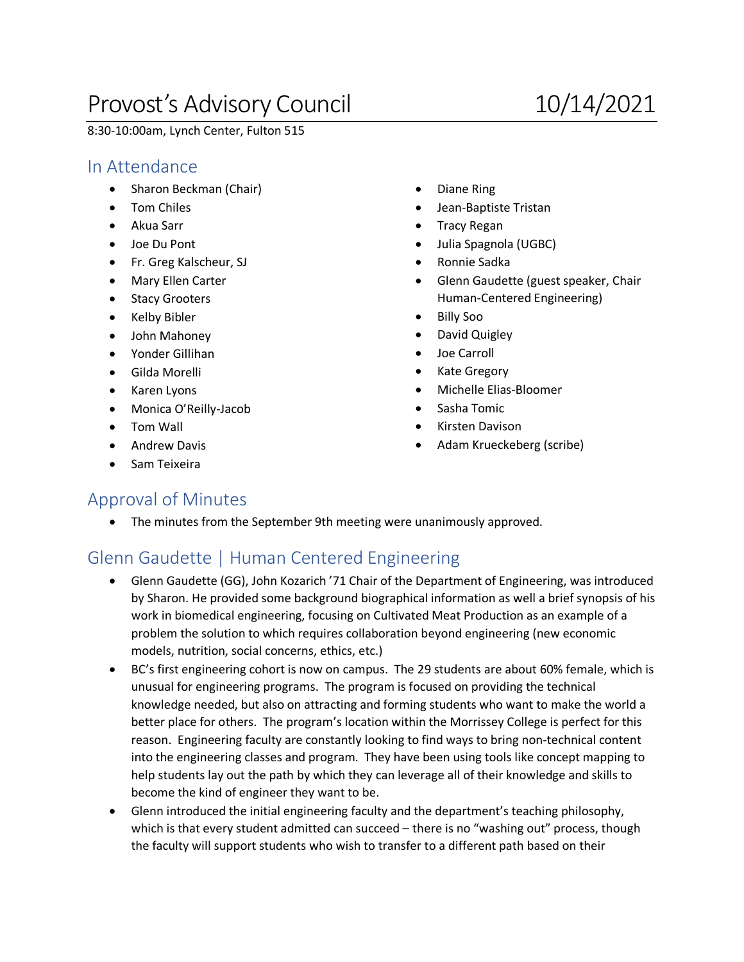# Provost's Advisory Council 10/14/2021

8:30-10:00am, Lynch Center, Fulton 515

### In Attendance

- Sharon Beckman (Chair)
- Tom Chiles
- Akua Sarr
- Joe Du Pont
- Fr. Greg Kalscheur, SJ
- Mary Ellen Carter
- Stacy Grooters
- Kelby Bibler
- John Mahoney
- Yonder Gillihan
- Gilda Morelli
- Karen Lyons
- Monica O'Reilly-Jacob
- Tom Wall
- Andrew Davis
- Sam Teixeira
- Diane Ring
- Jean-Baptiste Tristan
- Tracy Regan
- Julia Spagnola (UGBC)
- Ronnie Sadka
- Glenn Gaudette (guest speaker, Chair Human-Centered Engineering)
- Billy Soo
- David Quigley
- Joe Carroll
- Kate Gregory
- Michelle Elias-Bloomer
- Sasha Tomic
- Kirsten Davison
- Adam Krueckeberg (scribe)

#### Approval of Minutes

• The minutes from the September 9th meeting were unanimously approved.

## Glenn Gaudette | Human Centered Engineering

- Glenn Gaudette (GG), John Kozarich '71 Chair of the Department of Engineering, was introduced by Sharon. He provided some background biographical information as well a brief synopsis of his work in biomedical engineering, focusing on Cultivated Meat Production as an example of a problem the solution to which requires collaboration beyond engineering (new economic models, nutrition, social concerns, ethics, etc.)
- BC's first engineering cohort is now on campus. The 29 students are about 60% female, which is unusual for engineering programs. The program is focused on providing the technical knowledge needed, but also on attracting and forming students who want to make the world a better place for others. The program's location within the Morrissey College is perfect for this reason. Engineering faculty are constantly looking to find ways to bring non-technical content into the engineering classes and program. They have been using tools like concept mapping to help students lay out the path by which they can leverage all of their knowledge and skills to become the kind of engineer they want to be.
- Glenn introduced the initial engineering faculty and the department's teaching philosophy, which is that every student admitted can succeed – there is no "washing out" process, though the faculty will support students who wish to transfer to a different path based on their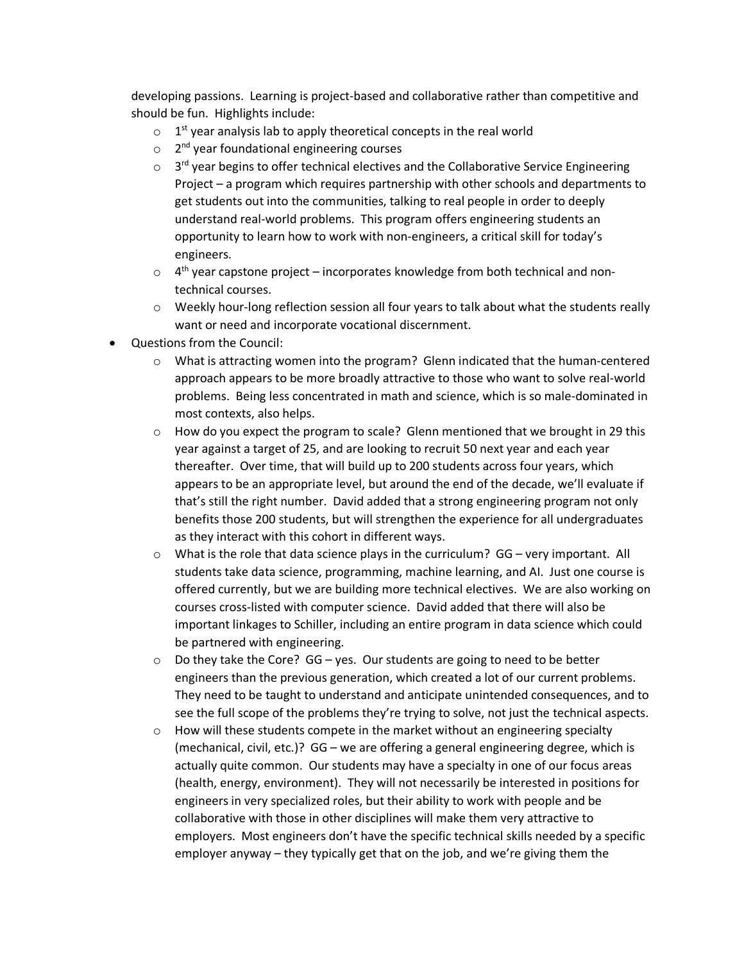developing passions. Learning is project-based and collaborative rather than competitive and should be fun. Highlights include:

- $\circ$  1<sup>st</sup> year analysis lab to apply theoretical concepts in the real world
- $\circ$  2<sup>nd</sup> year foundational engineering courses
- $\circ$  3<sup>rd</sup> year begins to offer technical electives and the Collaborative Service Engineering Project – a program which requires partnership with other schools and departments to get students out into the communities, talking to real people in order to deeply understand real-world problems. This program offers engineering students an opportunity to learn how to work with non-engineers, a critical skill for today's engineers.
- $\circ$  4<sup>th</sup> year capstone project incorporates knowledge from both technical and nontechnical courses.
- $\circ$  Weekly hour-long reflection session all four years to talk about what the students really want or need and incorporate vocational discernment.
- Questions from the Council:
	- o What is attracting women into the program? Glenn indicated that the human-centered approach appears to be more broadly attractive to those who want to solve real-world problems. Being less concentrated in math and science, which is so male-dominated in most contexts, also helps.
	- $\circ$  How do you expect the program to scale? Glenn mentioned that we brought in 29 this year against a target of 25, and are looking to recruit 50 next year and each year thereafter. Over time, that will build up to 200 students across four years, which appears to be an appropriate level, but around the end of the decade, we'll evaluate if that's still the right number. David added that a strong engineering program not only benefits those 200 students, but will strengthen the experience for all undergraduates as they interact with this cohort in different ways.
	- $\circ$  What is the role that data science plays in the curriculum? GG very important. All students take data science, programming, machine learning, and AI. Just one course is offered currently, but we are building more technical electives. We are also working on courses cross-listed with computer science. David added that there will also be important linkages to Schiller, including an entire program in data science which could be partnered with engineering.
	- $\circ$  Do they take the Core? GG yes. Our students are going to need to be better engineers than the previous generation, which created a lot of our current problems. They need to be taught to understand and anticipate unintended consequences, and to see the full scope of the problems they're trying to solve, not just the technical aspects.
	- $\circ$  How will these students compete in the market without an engineering specialty (mechanical, civil, etc.)? GG – we are offering a general engineering degree, which is actually quite common. Our students may have a specialty in one of our focus areas (health, energy, environment). They will not necessarily be interested in positions for engineers in very specialized roles, but their ability to work with people and be collaborative with those in other disciplines will make them very attractive to employers. Most engineers don't have the specific technical skills needed by a specific employer anyway – they typically get that on the job, and we're giving them the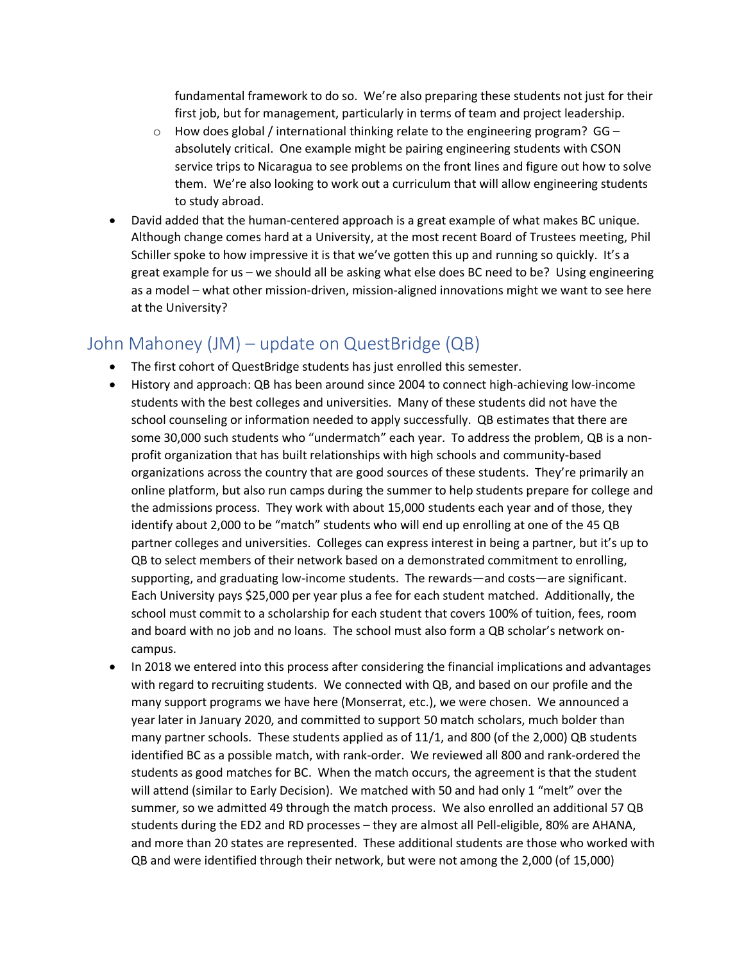fundamental framework to do so. We're also preparing these students not just for their first job, but for management, particularly in terms of team and project leadership.

- $\circ$  How does global / international thinking relate to the engineering program? GG absolutely critical. One example might be pairing engineering students with CSON service trips to Nicaragua to see problems on the front lines and figure out how to solve them. We're also looking to work out a curriculum that will allow engineering students to study abroad.
- David added that the human-centered approach is a great example of what makes BC unique. Although change comes hard at a University, at the most recent Board of Trustees meeting, Phil Schiller spoke to how impressive it is that we've gotten this up and running so quickly. It's a great example for us – we should all be asking what else does BC need to be? Using engineering as a model – what other mission-driven, mission-aligned innovations might we want to see here at the University?

## John Mahoney (JM) – update on QuestBridge (QB)

- The first cohort of QuestBridge students has just enrolled this semester.
- History and approach: QB has been around since 2004 to connect high-achieving low-income students with the best colleges and universities. Many of these students did not have the school counseling or information needed to apply successfully. QB estimates that there are some 30,000 such students who "undermatch" each year. To address the problem, QB is a nonprofit organization that has built relationships with high schools and community-based organizations across the country that are good sources of these students. They're primarily an online platform, but also run camps during the summer to help students prepare for college and the admissions process. They work with about 15,000 students each year and of those, they identify about 2,000 to be "match" students who will end up enrolling at one of the 45 QB partner colleges and universities. Colleges can express interest in being a partner, but it's up to QB to select members of their network based on a demonstrated commitment to enrolling, supporting, and graduating low-income students. The rewards—and costs—are significant. Each University pays \$25,000 per year plus a fee for each student matched. Additionally, the school must commit to a scholarship for each student that covers 100% of tuition, fees, room and board with no job and no loans. The school must also form a QB scholar's network oncampus.
- In 2018 we entered into this process after considering the financial implications and advantages with regard to recruiting students. We connected with QB, and based on our profile and the many support programs we have here (Monserrat, etc.), we were chosen. We announced a year later in January 2020, and committed to support 50 match scholars, much bolder than many partner schools. These students applied as of 11/1, and 800 (of the 2,000) QB students identified BC as a possible match, with rank-order. We reviewed all 800 and rank-ordered the students as good matches for BC. When the match occurs, the agreement is that the student will attend (similar to Early Decision). We matched with 50 and had only 1 "melt" over the summer, so we admitted 49 through the match process. We also enrolled an additional 57 QB students during the ED2 and RD processes – they are almost all Pell-eligible, 80% are AHANA, and more than 20 states are represented. These additional students are those who worked with QB and were identified through their network, but were not among the 2,000 (of 15,000)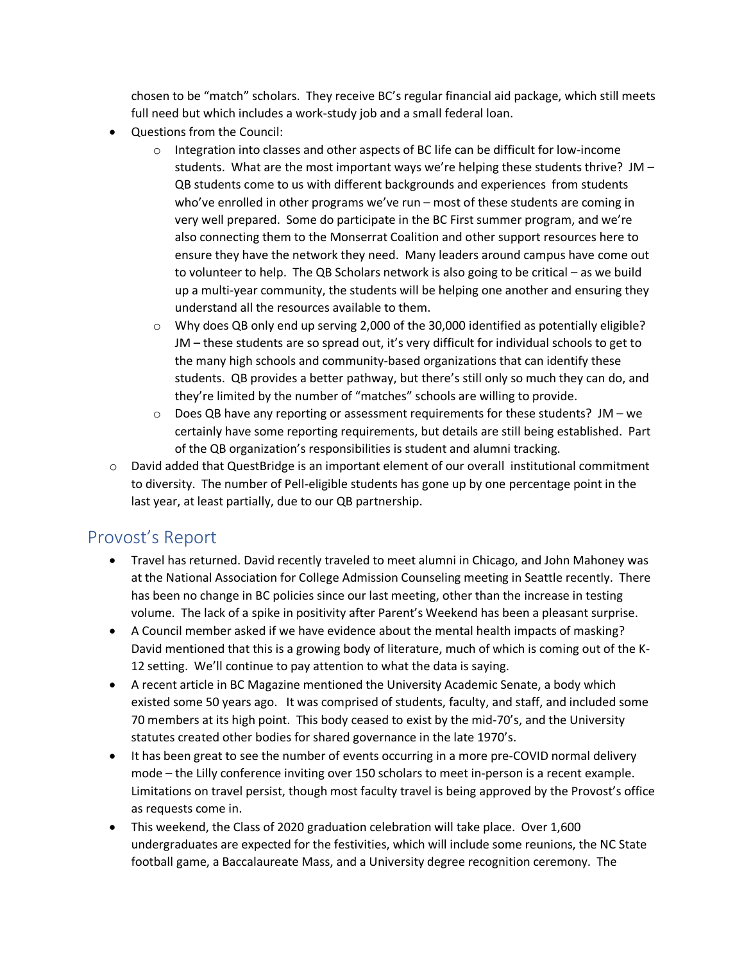chosen to be "match" scholars. They receive BC's regular financial aid package, which still meets full need but which includes a work-study job and a small federal loan.

- Questions from the Council:
	- $\circ$  Integration into classes and other aspects of BC life can be difficult for low-income students. What are the most important ways we're helping these students thrive? JM – QB students come to us with different backgrounds and experiences from students who've enrolled in other programs we've run – most of these students are coming in very well prepared. Some do participate in the BC First summer program, and we're also connecting them to the Monserrat Coalition and other support resources here to ensure they have the network they need. Many leaders around campus have come out to volunteer to help. The QB Scholars network is also going to be critical – as we build up a multi-year community, the students will be helping one another and ensuring they understand all the resources available to them.
	- o Why does QB only end up serving 2,000 of the 30,000 identified as potentially eligible? JM – these students are so spread out, it's very difficult for individual schools to get to the many high schools and community-based organizations that can identify these students. QB provides a better pathway, but there's still only so much they can do, and they're limited by the number of "matches" schools are willing to provide.
	- $\circ$  Does QB have any reporting or assessment requirements for these students? JM we certainly have some reporting requirements, but details are still being established. Part of the QB organization's responsibilities is student and alumni tracking.
- $\circ$  David added that QuestBridge is an important element of our overall institutional commitment to diversity. The number of Pell-eligible students has gone up by one percentage point in the last year, at least partially, due to our QB partnership.

#### Provost's Report

- Travel has returned. David recently traveled to meet alumni in Chicago, and John Mahoney was at the National Association for College Admission Counseling meeting in Seattle recently. There has been no change in BC policies since our last meeting, other than the increase in testing volume. The lack of a spike in positivity after Parent's Weekend has been a pleasant surprise.
- A Council member asked if we have evidence about the mental health impacts of masking? David mentioned that this is a growing body of literature, much of which is coming out of the K-12 setting. We'll continue to pay attention to what the data is saying.
- A recent article in BC Magazine mentioned the University Academic Senate, a body which existed some 50 years ago. It was comprised of students, faculty, and staff, and included some 70 members at its high point. This body ceased to exist by the mid-70's, and the University statutes created other bodies for shared governance in the late 1970's.
- It has been great to see the number of events occurring in a more pre-COVID normal delivery mode – the Lilly conference inviting over 150 scholars to meet in-person is a recent example. Limitations on travel persist, though most faculty travel is being approved by the Provost's office as requests come in.
- This weekend, the Class of 2020 graduation celebration will take place. Over 1,600 undergraduates are expected for the festivities, which will include some reunions, the NC State football game, a Baccalaureate Mass, and a University degree recognition ceremony. The